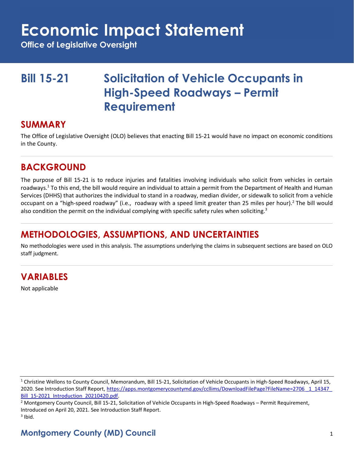# **Economic Impact Statement**

**Office of Legislative Oversight**

## **Bill 15-21 Solicitation of Vehicle Occupants in High-Speed Roadways – Permit Requirement**

#### **SUMMARY**

The Office of Legislative Oversight (OLO) believes that enacting Bill 15-21 would have no impact on economic conditions in the County.

### **BACKGROUND**

The purpose of Bill 15-21 is to reduce injuries and fatalities involving individuals who solicit from vehicles in certain roadways.<sup>1</sup> To this end, the bill would require an individual to attain a permit from the Department of Health and Human Services (DHHS) that authorizes the individual to stand in a roadway, median divider, or sidewalk to solicit from a vehicle occupant on a "high-speed roadway" (i.e., roadway with a speed limit greater than 25 miles per hour).<sup>2</sup> The bill would also condition the permit on the individual complying with specific safety rules when soliciting.<sup>3</sup>

### **METHODOLOGIES, ASSUMPTIONS, AND UNCERTAINTIES**

No methodologies were used in this analysis. The assumptions underlying the claims in subsequent sections are based on OLO staff judgment.

### **VARIABLES**

Not applicable

<sup>2</sup> Montgomery County Council, Bill 15-21, Solicitation of Vehicle Occupants in High-Speed Roadways – Permit Requirement, Introduced on April 20, 2021. See Introduction Staff Report.  $3$  Ibid.

### **Montgomery County (MD) Council** 1

<sup>&</sup>lt;sup>1</sup> Christine Wellons to County Council, Memorandum, Bill 15-21, Solicitation of Vehicle Occupants in High-Speed Roadways, April 15, 2020. See Introduction Staff Report[, https://apps.montgomerycountymd.gov/ccllims/DownloadFilePage?FileName=2706 \\_1\\_14347\\_](https://apps.montgomerycountymd.gov/ccllims/DownloadFilePage?FileName=2706%20_1_14347_Bill_15-2021_Introduction_20210420.pdf) [Bill\\_15-2021\\_Introduction\\_20210420.pdf.](https://apps.montgomerycountymd.gov/ccllims/DownloadFilePage?FileName=2706%20_1_14347_Bill_15-2021_Introduction_20210420.pdf)